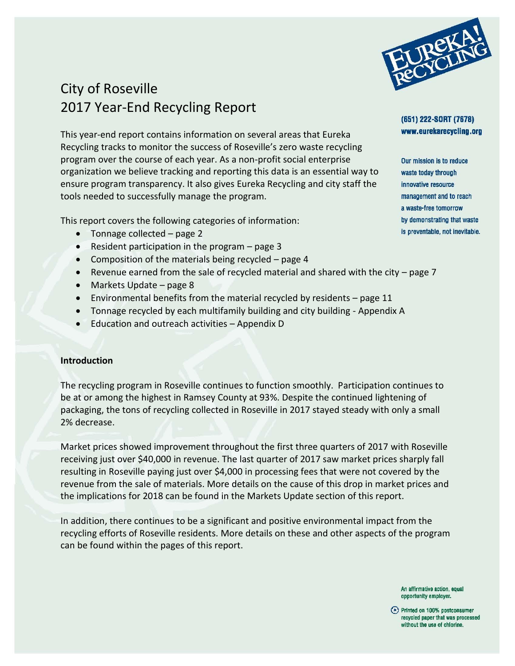

# City of Roseville 2017 Year-End Recycling Report

This year-end report contains information on several areas that Eureka Recycling tracks to monitor the success of Roseville's zero waste recycling program over the course of each year. As a non-profit social enterprise organization we believe tracking and reporting this data is an essential way to ensure program transparency. It also gives Eureka Recycling and city staff the tools needed to successfully manage the program.

This report covers the following categories of information:

- Tonnage collected page 2
- Resident participation in the program page 3
- Composition of the materials being recycled page 4
- Revenue earned from the sale of recycled material and shared with the city page 7
- Markets Update page 8
- Environmental benefits from the material recycled by residents page 11
- Tonnage recycled by each multifamily building and city building Appendix A
- **Education and outreach activities Appendix D**

## **Introduction**

The recycling program in Roseville continues to function smoothly. Participation continues to be at or among the highest in Ramsey County at 93%. Despite the continued lightening of packaging, the tons of recycling collected in Roseville in 2017 stayed steady with only a small 2% decrease.

Market prices showed improvement throughout the first three quarters of 2017 with Roseville receiving just over \$40,000 in revenue. The last quarter of 2017 saw market prices sharply fall resulting in Roseville paying just over \$4,000 in processing fees that were not covered by the revenue from the sale of materials. More details on the cause of this drop in market prices and the implications for 2018 can be found in the Markets Update section of this report.

In addition, there continues to be a significant and positive environmental impact from the recycling efforts of Roseville residents. More details on these and other aspects of the program can be found within the pages of this report.

(651) 222-SORT (7678) www.eurekarecycling.org

Our mission is to reduce waste today through innovative resource management and to reach a waste-free tomorrow by demonstrating that waste is preventable, not inevitable.

An affirmative action, equal opportunity employer.

(\*) Printed on 100% postconsumer recycled paper that was processed without the use of chlorine.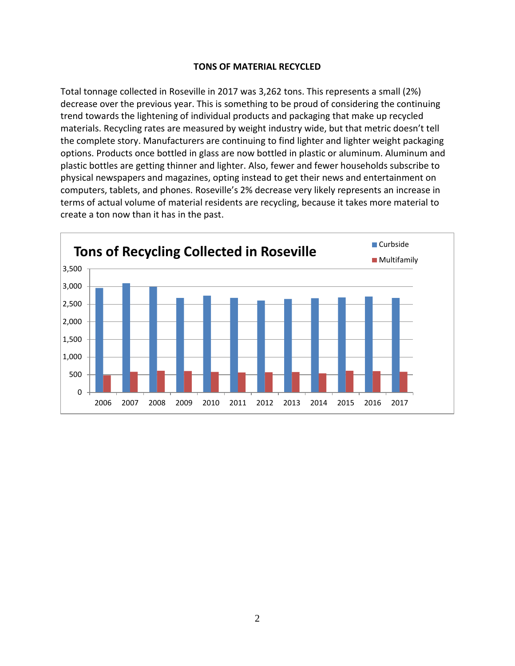## **TONS OF MATERIAL RECYCLED**

Total tonnage collected in Roseville in 2017 was 3,262 tons. This represents a small (2%) decrease over the previous year. This is something to be proud of considering the continuing trend towards the lightening of individual products and packaging that make up recycled materials. Recycling rates are measured by weight industry wide, but that metric doesn't tell the complete story. Manufacturers are continuing to find lighter and lighter weight packaging options. Products once bottled in glass are now bottled in plastic or aluminum. Aluminum and plastic bottles are getting thinner and lighter. Also, fewer and fewer households subscribe to physical newspapers and magazines, opting instead to get their news and entertainment on computers, tablets, and phones. Roseville's 2% decrease very likely represents an increase in terms of actual volume of material residents are recycling, because it takes more material to create a ton now than it has in the past.

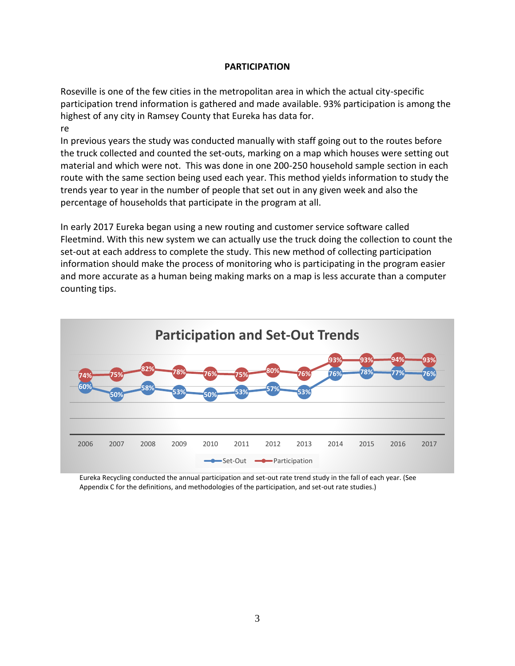#### **PARTICIPATION**

Roseville is one of the few cities in the metropolitan area in which the actual city-specific participation trend information is gathered and made available. 93% participation is among the highest of any city in Ramsey County that Eureka has data for. re

In previous years the study was conducted manually with staff going out to the routes before the truck collected and counted the set-outs, marking on a map which houses were setting out material and which were not. This was done in one 200-250 household sample section in each route with the same section being used each year. This method yields information to study the trends year to year in the number of people that set out in any given week and also the percentage of households that participate in the program at all.

In early 2017 Eureka began using a new routing and customer service software called Fleetmind. With this new system we can actually use the truck doing the collection to count the set-out at each address to complete the study. This new method of collecting participation information should make the process of monitoring who is participating in the program easier and more accurate as a human being making marks on a map is less accurate than a computer counting tips.



Eureka Recycling conducted the annual participation and set-out rate trend study in the fall of each year. (See Appendix C for the definitions, and methodologies of the participation, and set-out rate studies.)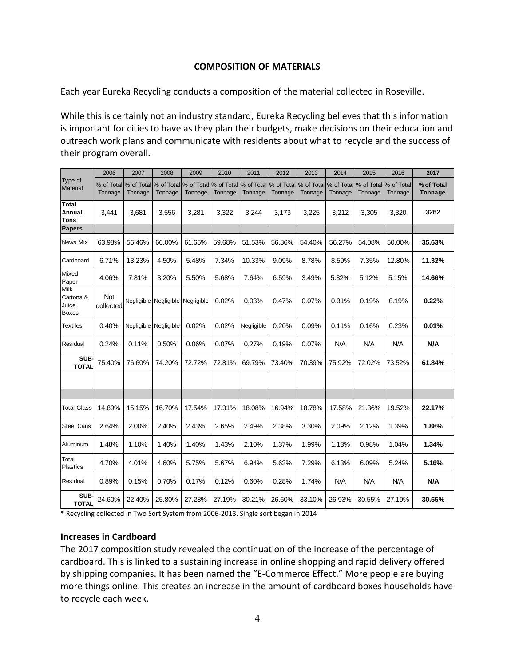# **COMPOSITION OF MATERIALS**

Each year Eureka Recycling conducts a composition of the material collected in Roseville.

While this is certainly not an industry standard, Eureka Recycling believes that this information is important for cities to have as they plan their budgets, make decisions on their education and outreach work plans and communicate with residents about what to recycle and the success of their program overall.

|                                            | 2006             | 2007                             | 2008                             | 2009                             | 2010    | 2011       | 2012    | 2013                                                                         | 2014    | 2015       | 2016                  | 2017                  |
|--------------------------------------------|------------------|----------------------------------|----------------------------------|----------------------------------|---------|------------|---------|------------------------------------------------------------------------------|---------|------------|-----------------------|-----------------------|
| Type of<br><b>Material</b>                 | Tonnage          | % of Total % of Total<br>Tonnage | Tonnage                          | % of Total % of Total<br>Tonnage | Tonnage | Tonnage    | Tonnage | % of Total % of Total % of Total % of Total % of Total % of Total<br>Tonnage | Tonnage | Tonnage    | % of Total<br>Tonnage | % of Total<br>Tonnage |
| Total<br>Annual<br>Tons                    | 3,441            | 3,681                            | 3,556                            | 3,281                            | 3,322   | 3,244      | 3,173   | 3,225                                                                        | 3,212   | 3,305      | 3,320                 | 3262                  |
| <b>Papers</b>                              |                  |                                  |                                  |                                  |         |            |         |                                                                              |         |            |                       |                       |
| <b>News Mix</b>                            | 63.98%           | 56.46%                           | 66.00%                           | 61.65%                           | 59.68%  | 51.53%     | 56.86%  | 54.40%                                                                       | 56.27%  | 54.08%     | 50.00%                | 35.63%                |
| Cardboard                                  | 6.71%            | 13.23%                           | 4.50%                            | 5.48%                            | 7.34%   | 10.33%     | 9.09%   | 8.78%                                                                        | 8.59%   | 7.35%      | 12.80%                | 11.32%                |
| Mixed<br>Paper                             | 4.06%            | 7.81%                            | 3.20%                            | 5.50%                            | 5.68%   | 7.64%      | 6.59%   | 3.49%                                                                        | 5.32%   | 5.12%      | 5.15%                 | 14.66%                |
| Milk<br>Cartons &<br>Juice<br><b>Boxes</b> | Not<br>collected |                                  | Negligible Negligible Negligible |                                  | 0.02%   | 0.03%      | 0.47%   | 0.07%                                                                        | 0.31%   | 0.19%      | 0.19%                 | 0.22%                 |
| <b>Textiles</b>                            | 0.40%            |                                  | Negligible Negligible            | 0.02%                            | 0.02%   | Negligible | 0.20%   | 0.09%                                                                        | 0.11%   | 0.16%      | 0.23%                 | 0.01%                 |
| Residual                                   | 0.24%            | 0.11%                            | 0.50%                            | 0.06%                            | 0.07%   | 0.27%      | 0.19%   | 0.07%                                                                        | N/A     | N/A        | N/A                   | N/A                   |
| SUB-<br><b>TOTAL</b>                       | 75.40%           | 76.60%                           | 74.20%                           | 72.72%                           | 72.81%  | 69.79%     | 73.40%  | 70.39%                                                                       | 75.92%  | 72.02%     | 73.52%                | 61.84%                |
|                                            |                  |                                  |                                  |                                  |         |            |         |                                                                              |         |            |                       |                       |
|                                            |                  |                                  |                                  |                                  |         |            |         |                                                                              |         |            |                       |                       |
| <b>Total Glass</b>                         | 14.89%           | 15.15%                           | 16.70%                           | 17.54%                           | 17.31%  | 18.08%     | 16.94%  | 18.78%                                                                       | 17.58%  | 21.36%     | 19.52%                | 22.17%                |
| <b>Steel Cans</b>                          | 2.64%            | 2.00%                            | 2.40%                            | 2.43%                            | 2.65%   | 2.49%      | 2.38%   | 3.30%                                                                        | 2.09%   | 2.12%      | 1.39%                 | 1.88%                 |
| Aluminum                                   | 1.48%            | 1.10%                            | 1.40%                            | 1.40%                            | 1.43%   | 2.10%      | 1.37%   | 1.99%                                                                        | 1.13%   | 0.98%      | 1.04%                 | 1.34%                 |
| Total<br>Plastics                          | 4.70%            | 4.01%                            | 4.60%                            | 5.75%                            | 5.67%   | 6.94%      | 5.63%   | 7.29%                                                                        | 6.13%   | 6.09%      | 5.24%                 | 5.16%                 |
| Residual                                   | 0.89%            | 0.15%                            | 0.70%                            | 0.17%                            | 0.12%   | 0.60%      | 0.28%   | 1.74%                                                                        | N/A     | <b>N/A</b> | <b>N/A</b>            | N/A                   |
| <b>SUB</b><br><b>TOTAL</b>                 | 24.60%           | 22.40%                           | 25.80%                           | 27.28%                           | 27.19%  | 30.21%     | 26.60%  | 33.10%                                                                       | 26.93%  | 30.55%     | 27.19%                | 30.55%                |

\* Recycling collected in Two Sort System from 2006-2013. Single sort began in 2014

#### **Increases in Cardboard**

The 2017 composition study revealed the continuation of the increase of the percentage of cardboard. This is linked to a sustaining increase in online shopping and rapid delivery offered by shipping companies. It has been named the "E-Commerce Effect." More people are buying more things online. This creates an increase in the amount of cardboard boxes households have to recycle each week.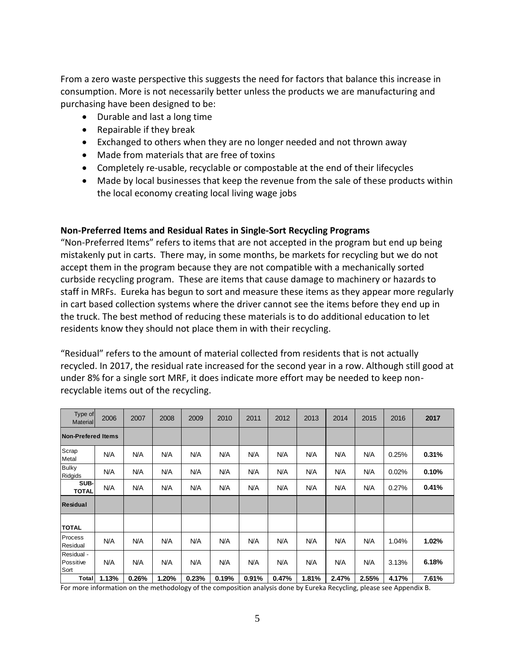From a zero waste perspective this suggests the need for factors that balance this increase in consumption. More is not necessarily better unless the products we are manufacturing and purchasing have been designed to be:

- Durable and last a long time
- Repairable if they break
- Exchanged to others when they are no longer needed and not thrown away
- Made from materials that are free of toxins
- Completely re-usable, recyclable or compostable at the end of their lifecycles
- Made by local businesses that keep the revenue from the sale of these products within the local economy creating local living wage jobs

## **Non-Preferred Items and Residual Rates in Single-Sort Recycling Programs**

"Non-Preferred Items" refers to items that are not accepted in the program but end up being mistakenly put in carts. There may, in some months, be markets for recycling but we do not accept them in the program because they are not compatible with a mechanically sorted curbside recycling program. These are items that cause damage to machinery or hazards to staff in MRFs. Eureka has begun to sort and measure these items as they appear more regularly in cart based collection systems where the driver cannot see the items before they end up in the truck. The best method of reducing these materials is to do additional education to let residents know they should not place them in with their recycling.

"Residual" refers to the amount of material collected from residents that is not actually recycled. In 2017, the residual rate increased for the second year in a row. Although still good at under 8% for a single sort MRF, it does indicate more effort may be needed to keep nonrecyclable items out of the recycling.

| Type of<br><b>Material</b>      | 2006       | 2007  | 2008       | 2009  | 2010  | 2011  | 2012  | 2013  | 2014  | 2015  | 2016  | 2017  |
|---------------------------------|------------|-------|------------|-------|-------|-------|-------|-------|-------|-------|-------|-------|
| <b>Non-Prefered Items</b>       |            |       |            |       |       |       |       |       |       |       |       |       |
| Scrap<br>Metal                  | N/A        | N/A   | <b>N/A</b> | N/A   | N/A   | N/A   | N/A   | N/A   | N/A   | N/A   | 0.25% | 0.31% |
| <b>Bulky</b><br>Ridgids         | N/A        | N/A   | N/A        | N/A   | N/A   | N/A   | N/A   | N/A   | N/A   | N/A   | 0.02% | 0.10% |
| SUB-<br><b>TOTAL</b>            | N/A        | N/A   | N/A        | N/A   | N/A   | N/A   | N/A   | N/A   | N/A   | N/A   | 0.27% | 0.41% |
| <b>Residual</b>                 |            |       |            |       |       |       |       |       |       |       |       |       |
| <b>TOTAL</b>                    |            |       |            |       |       |       |       |       |       |       |       |       |
| Process<br>Residual             | N/A        | N/A   | N/A        | N/A   | N/A   | N/A   | N/A   | N/A   | N/A   | N/A   | 1.04% | 1.02% |
| Residual -<br>Possitive<br>Sort | <b>N/A</b> | N/A   | N/A        | N/A   | N/A   | N/A   | N/A   | N/A   | N/A   | N/A   | 3.13% | 6.18% |
| <b>Total</b>                    | 1.13%      | 0.26% | 1.20%      | 0.23% | 0.19% | 0.91% | 0.47% | 1.81% | 2.47% | 2.55% | 4.17% | 7.61% |

For more information on the methodology of the composition analysis done by Eureka Recycling, please see Appendix B.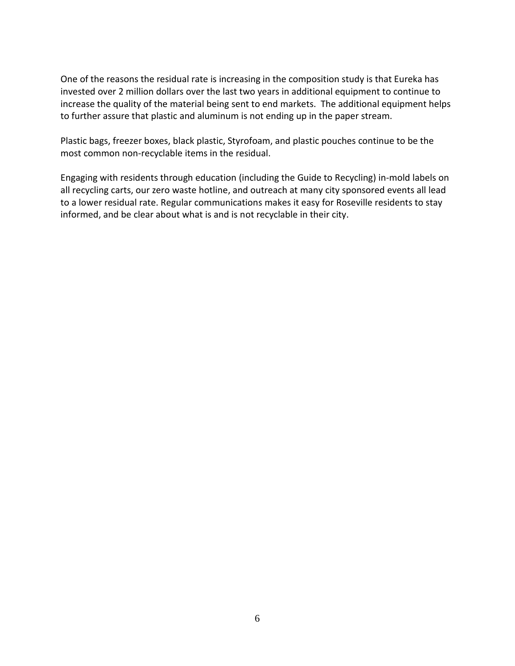One of the reasons the residual rate is increasing in the composition study is that Eureka has invested over 2 million dollars over the last two years in additional equipment to continue to increase the quality of the material being sent to end markets. The additional equipment helps to further assure that plastic and aluminum is not ending up in the paper stream.

Plastic bags, freezer boxes, black plastic, Styrofoam, and plastic pouches continue to be the most common non-recyclable items in the residual.

Engaging with residents through education (including the Guide to Recycling) in-mold labels on all recycling carts, our zero waste hotline, and outreach at many city sponsored events all lead to a lower residual rate. Regular communications makes it easy for Roseville residents to stay informed, and be clear about what is and is not recyclable in their city.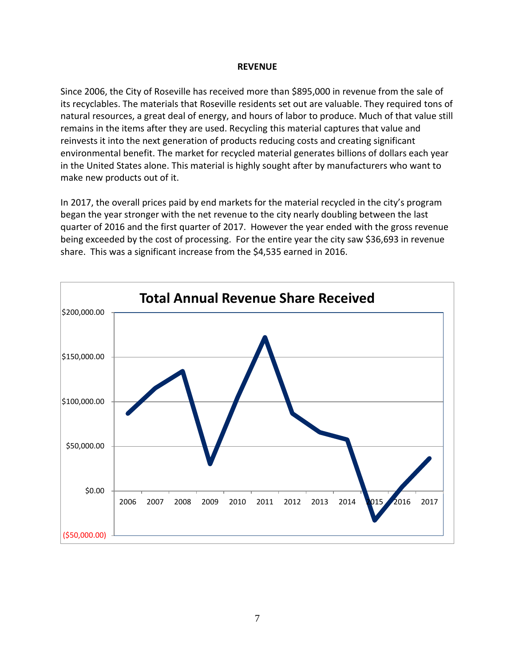#### **REVENUE**

Since 2006, the City of Roseville has received more than \$895,000 in revenue from the sale of its recyclables. The materials that Roseville residents set out are valuable. They required tons of natural resources, a great deal of energy, and hours of labor to produce. Much of that value still remains in the items after they are used. Recycling this material captures that value and reinvests it into the next generation of products reducing costs and creating significant environmental benefit. The market for recycled material generates billions of dollars each year in the United States alone. This material is highly sought after by manufacturers who want to make new products out of it.

In 2017, the overall prices paid by end markets for the material recycled in the city's program began the year stronger with the net revenue to the city nearly doubling between the last quarter of 2016 and the first quarter of 2017. However the year ended with the gross revenue being exceeded by the cost of processing. For the entire year the city saw \$36,693 in revenue share. This was a significant increase from the \$4,535 earned in 2016.

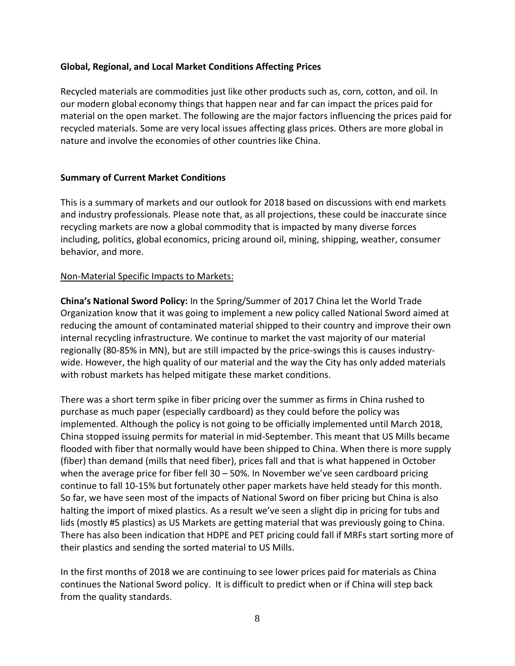# **Global, Regional, and Local Market Conditions Affecting Prices**

Recycled materials are commodities just like other products such as, corn, cotton, and oil. In our modern global economy things that happen near and far can impact the prices paid for material on the open market. The following are the major factors influencing the prices paid for recycled materials. Some are very local issues affecting glass prices. Others are more global in nature and involve the economies of other countries like China.

# **Summary of Current Market Conditions**

This is a summary of markets and our outlook for 2018 based on discussions with end markets and industry professionals. Please note that, as all projections, these could be inaccurate since recycling markets are now a global commodity that is impacted by many diverse forces including, politics, global economics, pricing around oil, mining, shipping, weather, consumer behavior, and more.

# Non-Material Specific Impacts to Markets:

**China's National Sword Policy:** In the Spring/Summer of 2017 China let the World Trade Organization know that it was going to implement a new policy called National Sword aimed at reducing the amount of contaminated material shipped to their country and improve their own internal recycling infrastructure. We continue to market the vast majority of our material regionally (80-85% in MN), but are still impacted by the price-swings this is causes industrywide. However, the high quality of our material and the way the City has only added materials with robust markets has helped mitigate these market conditions.

There was a short term spike in fiber pricing over the summer as firms in China rushed to purchase as much paper (especially cardboard) as they could before the policy was implemented. Although the policy is not going to be officially implemented until March 2018, China stopped issuing permits for material in mid-September. This meant that US Mills became flooded with fiber that normally would have been shipped to China. When there is more supply (fiber) than demand (mills that need fiber), prices fall and that is what happened in October when the average price for fiber fell 30 – 50%. In November we've seen cardboard pricing continue to fall 10-15% but fortunately other paper markets have held steady for this month. So far, we have seen most of the impacts of National Sword on fiber pricing but China is also halting the import of mixed plastics. As a result we've seen a slight dip in pricing for tubs and lids (mostly #5 plastics) as US Markets are getting material that was previously going to China. There has also been indication that HDPE and PET pricing could fall if MRFs start sorting more of their plastics and sending the sorted material to US Mills.

In the first months of 2018 we are continuing to see lower prices paid for materials as China continues the National Sword policy. It is difficult to predict when or if China will step back from the quality standards.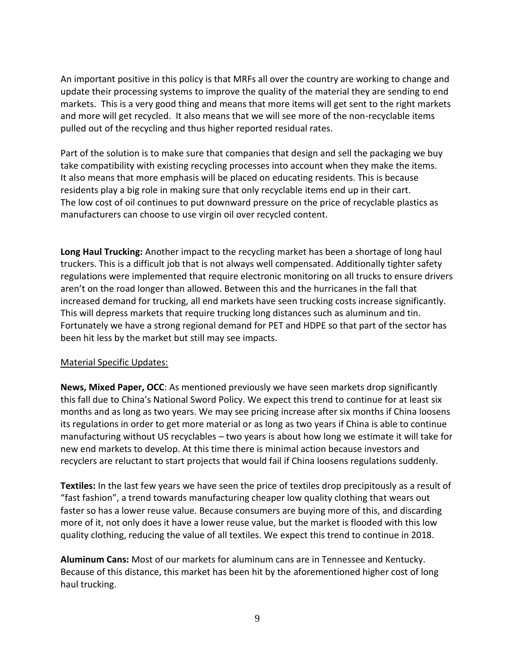An important positive in this policy is that MRFs all over the country are working to change and update their processing systems to improve the quality of the material they are sending to end markets. This is a very good thing and means that more items will get sent to the right markets and more will get recycled. It also means that we will see more of the non-recyclable items pulled out of the recycling and thus higher reported residual rates.

Part of the solution is to make sure that companies that design and sell the packaging we buy take compatibility with existing recycling processes into account when they make the items. It also means that more emphasis will be placed on educating residents. This is because residents play a big role in making sure that only recyclable items end up in their cart. The low cost of oil continues to put downward pressure on the price of recyclable plastics as manufacturers can choose to use virgin oil over recycled content.

**Long Haul Trucking:** Another impact to the recycling market has been a shortage of long haul truckers. This is a difficult job that is not always well compensated. Additionally tighter safety regulations were implemented that require electronic monitoring on all trucks to ensure drivers aren't on the road longer than allowed. Between this and the hurricanes in the fall that increased demand for trucking, all end markets have seen trucking costs increase significantly. This will depress markets that require trucking long distances such as aluminum and tin. Fortunately we have a strong regional demand for PET and HDPE so that part of the sector has been hit less by the market but still may see impacts.

## Material Specific Updates:

**News, Mixed Paper, OCC**: As mentioned previously we have seen markets drop significantly this fall due to China's National Sword Policy. We expect this trend to continue for at least six months and as long as two years. We may see pricing increase after six months if China loosens its regulations in order to get more material or as long as two years if China is able to continue manufacturing without US recyclables – two years is about how long we estimate it will take for new end markets to develop. At this time there is minimal action because investors and recyclers are reluctant to start projects that would fail if China loosens regulations suddenly.

**Textiles:** In the last few years we have seen the price of textiles drop precipitously as a result of "fast fashion", a trend towards manufacturing cheaper low quality clothing that wears out faster so has a lower reuse value. Because consumers are buying more of this, and discarding more of it, not only does it have a lower reuse value, but the market is flooded with this low quality clothing, reducing the value of all textiles. We expect this trend to continue in 2018.

**Aluminum Cans:** Most of our markets for aluminum cans are in Tennessee and Kentucky. Because of this distance, this market has been hit by the aforementioned higher cost of long haul trucking.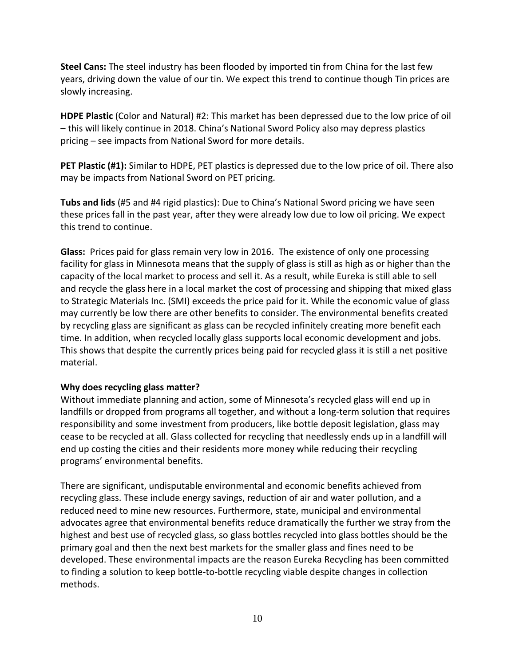**Steel Cans:** The steel industry has been flooded by imported tin from China for the last few years, driving down the value of our tin. We expect this trend to continue though Tin prices are slowly increasing.

**HDPE Plastic** (Color and Natural) #2: This market has been depressed due to the low price of oil – this will likely continue in 2018. China's National Sword Policy also may depress plastics pricing – see impacts from National Sword for more details.

**PET Plastic (#1):** Similar to HDPE, PET plastics is depressed due to the low price of oil. There also may be impacts from National Sword on PET pricing.

**Tubs and lids** (#5 and #4 rigid plastics): Due to China's National Sword pricing we have seen these prices fall in the past year, after they were already low due to low oil pricing. We expect this trend to continue.

**Glass:** Prices paid for glass remain very low in 2016. The existence of only one processing facility for glass in Minnesota means that the supply of glass is still as high as or higher than the capacity of the local market to process and sell it. As a result, while Eureka is still able to sell and recycle the glass here in a local market the cost of processing and shipping that mixed glass to Strategic Materials Inc. (SMI) exceeds the price paid for it. While the economic value of glass may currently be low there are other benefits to consider. The environmental benefits created by recycling glass are significant as glass can be recycled infinitely creating more benefit each time. In addition, when recycled locally glass supports local economic development and jobs. This shows that despite the currently prices being paid for recycled glass it is still a net positive material.

## **Why does recycling glass matter?**

Without immediate planning and action, some of Minnesota's recycled glass will end up in landfills or dropped from programs all together, and without a long-term solution that requires responsibility and some investment from producers, like bottle deposit legislation, glass may cease to be recycled at all. Glass collected for recycling that needlessly ends up in a landfill will end up costing the cities and their residents more money while reducing their recycling programs' environmental benefits.

There are significant, undisputable environmental and economic benefits achieved from recycling glass. These include energy savings, reduction of air and water pollution, and a reduced need to mine new resources. Furthermore, state, municipal and environmental advocates agree that environmental benefits reduce dramatically the further we stray from the highest and best use of recycled glass, so glass bottles recycled into glass bottles should be the primary goal and then the next best markets for the smaller glass and fines need to be developed. These environmental impacts are the reason Eureka Recycling has been committed to finding a solution to keep bottle-to-bottle recycling viable despite changes in collection methods.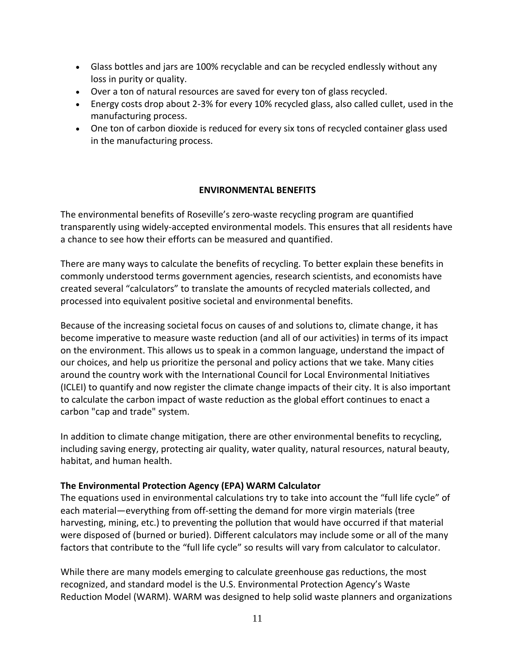- Glass bottles and jars are 100% recyclable and can be recycled endlessly without any loss in purity or quality.
- Over a ton of natural resources are saved for every ton of glass recycled.
- Energy costs drop about 2-3% for every 10% recycled glass, also called cullet, used in the manufacturing process.
- One ton of carbon dioxide is reduced for every six tons of recycled container glass used in the manufacturing process.

# **ENVIRONMENTAL BENEFITS**

The environmental benefits of Roseville's zero-waste recycling program are quantified transparently using widely-accepted environmental models. This ensures that all residents have a chance to see how their efforts can be measured and quantified.

There are many ways to calculate the benefits of recycling. To better explain these benefits in commonly understood terms government agencies, research scientists, and economists have created several "calculators" to translate the amounts of recycled materials collected, and processed into equivalent positive societal and environmental benefits.

Because of the increasing societal focus on causes of and solutions to, climate change, it has become imperative to measure waste reduction (and all of our activities) in terms of its impact on the environment. This allows us to speak in a common language, understand the impact of our choices, and help us prioritize the personal and policy actions that we take. Many cities around the country work with the International Council for Local Environmental Initiatives (ICLEI) to quantify and now register the climate change impacts of their city. It is also important to calculate the carbon impact of waste reduction as the global effort continues to enact a carbon "cap and trade" system.

In addition to climate change mitigation, there are other environmental benefits to recycling, including saving energy, protecting air quality, water quality, natural resources, natural beauty, habitat, and human health.

# **The Environmental Protection Agency (EPA) WARM Calculator**

The equations used in environmental calculations try to take into account the "full life cycle" of each material—everything from off-setting the demand for more virgin materials (tree harvesting, mining, etc.) to preventing the pollution that would have occurred if that material were disposed of (burned or buried). Different calculators may include some or all of the many factors that contribute to the "full life cycle" so results will vary from calculator to calculator.

While there are many models emerging to calculate greenhouse gas reductions, the most recognized, and standard model is the U.S. Environmental Protection Agency's Waste Reduction Model (WARM). WARM was designed to help solid waste planners and organizations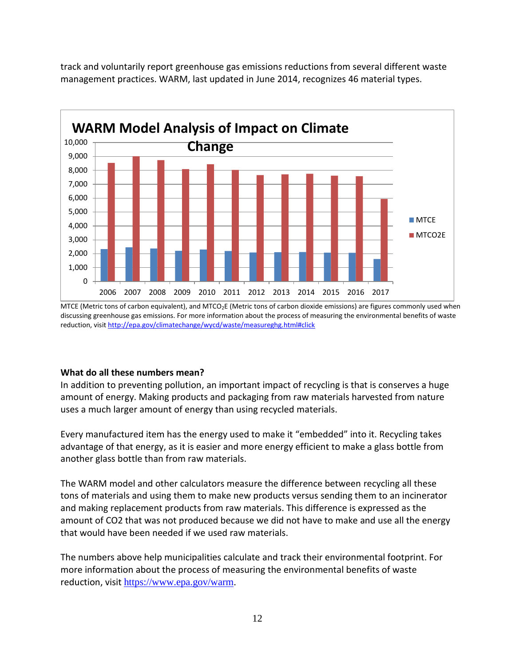



MTCE (Metric tons of carbon equivalent), and MTCO<sub>2</sub>E (Metric tons of carbon dioxide emissions) are figures commonly used when discussing greenhouse gas emissions. For more information about the process of measuring the environmental benefits of waste reduction, visi[t http://epa.gov/climatechange/wycd/waste/measureghg.html#click](http://epa.gov/climatechange/wycd/waste/measureghg.html#click)

## **What do all these numbers mean?**

In addition to preventing pollution, an important impact of recycling is that is conserves a huge amount of energy. Making products and packaging from raw materials harvested from nature uses a much larger amount of energy than using recycled materials.

Every manufactured item has the energy used to make it "embedded" into it. Recycling takes advantage of that energy, as it is easier and more energy efficient to make a glass bottle from another glass bottle than from raw materials.

The WARM model and other calculators measure the difference between recycling all these tons of materials and using them to make new products versus sending them to an incinerator and making replacement products from raw materials. This difference is expressed as the amount of CO2 that was not produced because we did not have to make and use all the energy that would have been needed if we used raw materials.

The numbers above help municipalities calculate and track their environmental footprint. For more information about the process of measuring the environmental benefits of waste reduction, visit [https://www.epa.gov/warm.](https://www.epa.gov/warm)